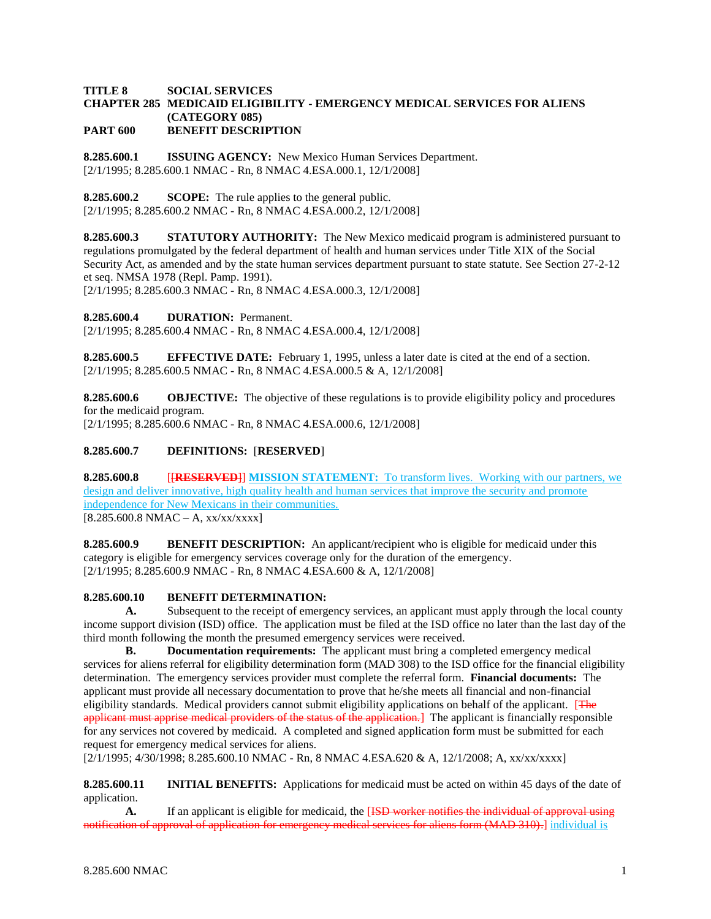## **TITLE 8 SOCIAL SERVICES CHAPTER 285 MEDICAID ELIGIBILITY - EMERGENCY MEDICAL SERVICES FOR ALIENS (CATEGORY 085) PART 600 BENEFIT DESCRIPTION**

**8.285.600.1 ISSUING AGENCY:** New Mexico Human Services Department. [2/1/1995; 8.285.600.1 NMAC - Rn, 8 NMAC 4.ESA.000.1, 12/1/2008]

**8.285.600.2 SCOPE:** The rule applies to the general public.

[2/1/1995; 8.285.600.2 NMAC - Rn, 8 NMAC 4.ESA.000.2, 12/1/2008]

**8.285.600.3 STATUTORY AUTHORITY:** The New Mexico medicaid program is administered pursuant to regulations promulgated by the federal department of health and human services under Title XIX of the Social Security Act, as amended and by the state human services department pursuant to state statute. See Section 27-2-12 et seq. NMSA 1978 (Repl. Pamp. 1991).

[2/1/1995; 8.285.600.3 NMAC - Rn, 8 NMAC 4.ESA.000.3, 12/1/2008]

**8.285.600.4 DURATION:** Permanent.

[2/1/1995; 8.285.600.4 NMAC - Rn, 8 NMAC 4.ESA.000.4, 12/1/2008]

**8.285.600.5 EFFECTIVE DATE:** February 1, 1995, unless a later date is cited at the end of a section. [2/1/1995; 8.285.600.5 NMAC - Rn, 8 NMAC 4.ESA.000.5 & A, 12/1/2008]

**8.285.600.6 OBJECTIVE:** The objective of these regulations is to provide eligibility policy and procedures for the medicaid program.

[2/1/1995; 8.285.600.6 NMAC - Rn, 8 NMAC 4.ESA.000.6, 12/1/2008]

## **8.285.600.7 DEFINITIONS:** [**RESERVED**]

**8.285.600.8** [[**RESERVED**]] **MISSION STATEMENT:** To transform lives. Working with our partners, we design and deliver innovative, high quality health and human services that improve the security and promote independence for New Mexicans in their communities.  $[8.285.600.8 \text{ NMAC} - \text{A}, \frac{XX}{XX} \text{XXX}]$ 

**8.285.600.9 BENEFIT DESCRIPTION:** An applicant/recipient who is eligible for medicaid under this category is eligible for emergency services coverage only for the duration of the emergency. [2/1/1995; 8.285.600.9 NMAC - Rn, 8 NMAC 4.ESA.600 & A, 12/1/2008]

## **8.285.600.10 BENEFIT DETERMINATION:**

**A.** Subsequent to the receipt of emergency services, an applicant must apply through the local county income support division (ISD) office. The application must be filed at the ISD office no later than the last day of the third month following the month the presumed emergency services were received.

**B. Documentation requirements:** The applicant must bring a completed emergency medical services for aliens referral for eligibility determination form (MAD 308) to the ISD office for the financial eligibility determination. The emergency services provider must complete the referral form. **Financial documents:** The applicant must provide all necessary documentation to prove that he/she meets all financial and non-financial eligibility standards. Medical providers cannot submit eligibility applications on behalf of the applicant. [The applicant must apprise medical providers of the status of the application.] The applicant is financially responsible for any services not covered by medicaid. A completed and signed application form must be submitted for each request for emergency medical services for aliens.

[2/1/1995; 4/30/1998; 8.285.600.10 NMAC - Rn, 8 NMAC 4.ESA.620 & A, 12/1/2008; A, xx/xx/xxxx]

**8.285.600.11 INITIAL BENEFITS:** Applications for medicaid must be acted on within 45 days of the date of application.

A. If an applicant is eligible for medicaid, the [<del>ISD worker notifies the individual of approval using</del> notification of approval of application for emergency medical services for aliens form (MAD 310).] individual is